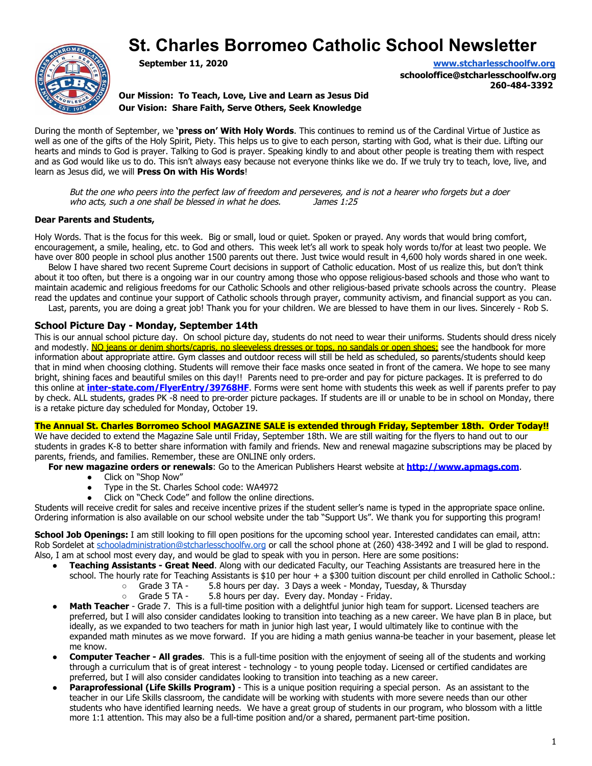# **St. Charles Borromeo Catholic School Newsletter**



**September 11, 2020 [www.stcharlesschoolfw.org](http://www.stcharlesschoolfw.org/)**

**schooloffice@stcharlesschoolfw.org 260-484-3392**

**Our Mission: To Teach, Love, Live and Learn as Jesus Did Our Vision: Share Faith, Serve Others, Seek Knowledge**

During the month of September, we **'press on' With Holy Words**. This continues to remind us of the Cardinal Virtue of Justice as well as one of the gifts of the Holy Spirit, Piety. This helps us to give to each person, starting with God, what is their due. Lifting our hearts and minds to God is prayer. Talking to God is prayer. Speaking kindly to and about other people is treating them with respect and as God would like us to do. This isn't always easy because not everyone thinks like we do. If we truly try to teach, love, live, and learn as Jesus did, we will **Press On with His Words**!

But the one who peers into the perfect law of freedom and perseveres, and is not a hearer who forgets but a doer who acts, such a one shall be blessed in what he does. James 1:25

# **Dear Parents and Students,**

Holy Words. That is the focus for this week. Big or small, loud or quiet. Spoken or prayed. Any words that would bring comfort, encouragement, a smile, healing, etc. to God and others. This week let's all work to speak holy words to/for at least two people. We have over 800 people in school plus another 1500 parents out there. Just twice would result in 4,600 holy words shared in one week.

 Below I have shared two recent Supreme Court decisions in support of Catholic education. Most of us realize this, but don't think about it too often, but there is a ongoing war in our country among those who oppose religious-based schools and those who want to maintain academic and religious freedoms for our Catholic Schools and other religious-based private schools across the country. Please

read the updates and continue your support of Catholic schools through prayer, community activism, and financial support as you can. Last, parents, you are doing a great job! Thank you for your children. We are blessed to have them in our lives. Sincerely - Rob S.

# **School Picture Day - Monday, September 14th**

This is our annual school picture day. On school picture day, students do not need to wear their uniforms. Students should dress nicely and modestly. No jeans or denim shorts/capris, no sleeveless dresses or tops, no sandals or open shoes; see the handbook for more information about appropriate attire. Gym classes and outdoor recess will still be held as scheduled, so parents/students should keep that in mind when choosing clothing. Students will remove their face masks once seated in front of the camera. We hope to see many bright, shining faces and beautiful smiles on this day!! Parents need to pre-order and pay for picture packages. It is preferred to do this online at **[inter-state.com/FlyerEntry/39768HF](https://inter-state.us8.list-manage.com/track/click?u=86bf98013aa8c9ab0f4f283a9&id=4b059cee34&e=9af57ed97b)**. Forms were sent home with students this week as well if parents prefer to pay by check. ALL students, grades PK -8 need to pre-order picture packages. If students are ill or unable to be in school on Monday, there is a retake picture day scheduled for Monday, October 19.

**The Annual St. Charles Borromeo School MAGAZINE SALE is extended through Friday, September 18th. Order Today!!**

We have decided to extend the Magazine Sale until Friday, September 18th. We are still waiting for the flyers to hand out to our students in grades K-8 to better share information with family and friends. New and renewal magazine subscriptions may be placed by parents, friends, and families. Remember, these are ONLINE only orders.

**For new magazine orders or renewals**: Go to the American Publishers Hearst website at **[http://www.apmags.com](http://www.apmags.com/)**.

- Click on "Shop Now"
- Type in the St. Charles School code: WA4972
- Click on "Check Code" and follow the online directions.

Students will receive credit for sales and receive incentive prizes if the student seller's name is typed in the appropriate space online. Ordering information is also available on our school website under the tab "Support Us". We thank you for supporting this program!

**School Job Openings:** I am still looking to fill open positions for the upcoming school year. Interested candidates can email, attn: Rob Sordelet at [schooladministration@stcharlesschoolfw.org](mailto:schooladministration@stcharlesschoolfw.org) or call the school phone at (260) 438-3492 and I will be glad to respond. Also, I am at school most every day, and would be glad to speak with you in person. Here are some positions:

- **Teaching Assistants Great Need**. Along with our dedicated Faculty, our Teaching Assistants are treasured here in the school. The hourly rate for Teaching Assistants is \$10 per hour + a \$300 tuition discount per child enrolled in Catholic School.:
	- Grade 3 TA 5.8 hours per day. 3 Days a week Monday, Tuesday, & Thursday<br>○ Grade 5 TA 5.8 hours per day. Every day. Monday Friday.
		- Grade 5 TA 5.8 hours per day. Every day. Monday Friday.
- Math Teacher Grade 7. This is a full-time position with a delightful junior high team for support. Licensed teachers are preferred, but I will also consider candidates looking to transition into teaching as a new career. We have plan B in place, but ideally, as we expanded to two teachers for math in junior high last year, I would ultimately like to continue with the expanded math minutes as we move forward. If you are hiding a math genius wanna-be teacher in your basement, please let me know.
- **Computer Teacher All grades**. This is a full-time position with the enjoyment of seeing all of the students and working through a curriculum that is of great interest - technology - to young people today. Licensed or certified candidates are preferred, but I will also consider candidates looking to transition into teaching as a new career.
- Paraprofessional (Life Skills Program) This is a unique position requiring a special person. As an assistant to the teacher in our Life Skills classroom, the candidate will be working with students with more severe needs than our other students who have identified learning needs. We have a great group of students in our program, who blossom with a little more 1:1 attention. This may also be a full-time position and/or a shared, permanent part-time position.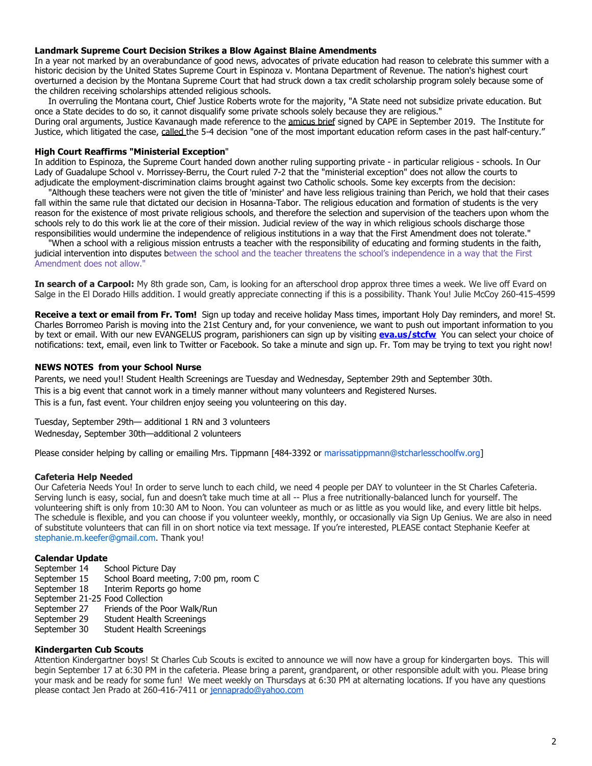#### **Landmark Supreme Court Decision Strikes a Blow Against Blaine Amendments**

In a year not marked by an overabundance of good news, advocates of private education had reason to celebrate this summer with a historic decision by the United States Supreme Court in Espinoza v. Montana Department of Revenue. The nation's highest court overturned a decision by the Montana Supreme Court that had struck down a tax credit scholarship program solely because some of the children receiving scholarships attended religious schools.

 In overruling the Montana court, Chief Justice Roberts wrote for the majority, "A State need not subsidize private education. But once a State decides to do so, it cannot disqualify some private schools solely because they are religious." During oral arguments, Justice Kavanaugh made reference to the [amicus brief](http://r20.rs6.net/tn.jsp?f=001KQiBrxkwSm--anakyizHaUh4DxYCJrGvFbarnx6BwQIt7M7Xrv4xJbAeEzBEKpP786WLeljHmDQ9m025vHDFj40odotBX5NJodyccP0bMsStUQxRSdrOHUnlxNy9UquPwAe4iebTFO7oX2jOqi07s0sHjIeGel3biWPctd8st6bGBYS5byb3begIq_GH5QYhjBJkUXoN7ZHYtS-Y8ERogw3Mfdy_Jr3PbZchzgWRongtfe8TSjNHmpA7eUURWVVUINbHknxaJu2fQiOfO4O50cNKHq3EEZwD&c=pkO3m-0nIepXy8Y2Qofp9TxuJRNWjurJj9p2dybtZG1UrBorzP5a2A==&ch=t3mv8agH-aqUvfUd9z-0X5ICBMLObonP9SysOqF-AzENvuy7k7Ik6g==) signed by CAPE in September 2019. The Institute for

Justice, which litigated the case, [called t](http://r20.rs6.net/tn.jsp?f=001KQiBrxkwSm--anakyizHaUh4DxYCJrGvFbarnx6BwQIt7M7Xrv4xJfi9NupfGrKUwxykvNg4YXzlDiU34bj08Zpxq4ayxw8lEWVUWfMG1N-N-C6tmAKCPhXgYfPuD2oAJWrDQlO2mP_y11cdgiJW4NidieST22B1XnxeJkByyy0=&c=pkO3m-0nIepXy8Y2Qofp9TxuJRNWjurJj9p2dybtZG1UrBorzP5a2A==&ch=t3mv8agH-aqUvfUd9z-0X5ICBMLObonP9SysOqF-AzENvuy7k7Ik6g==)he 5-4 decision "one of the most important education reform cases in the past half-century."

#### **High Court Reaffirms "Ministerial Exception**"

In addition to Espinoza, the Supreme Court handed down another ruling supporting private - in particular religious - schools. In Our Lady of Guadalupe School v. Morrissey-Berru, the Court ruled 7-2 that the "ministerial exception" does not allow the courts to adjudicate the employment-discrimination claims brought against two Catholic schools. Some key excerpts from the decision:

 "Although these teachers were not given the title of 'minister' and have less religious training than Perich, we hold that their cases fall within the same rule that dictated our decision in Hosanna-Tabor. The religious education and formation of students is the very reason for the existence of most private religious schools, and therefore the selection and supervision of the teachers upon whom the schools rely to do this work lie at the core of their mission. Judicial review of the way in which religious schools discharge those responsibilities would undermine the independence of religious institutions in a way that the First Amendment does not tolerate."

 "When a school with a religious mission entrusts a teacher with the responsibility of educating and forming students in the faith, judicial intervention into disputes between the school and the teacher threatens the school's independence in a way that the First Amendment does not allow."

In search of a Carpool: My 8th grade son, Cam, is looking for an afterschool drop approx three times a week. We live off Evard on Salge in the El Dorado Hills addition. I would greatly appreciate connecting if this is a possibility. Thank You! Julie McCoy 260-415-4599

**Receive a text or email from Fr. Tom!** Sign up today and receive holiday Mass times, important Holy Day reminders, and more! St. Charles Borromeo Parish is moving into the 21st Century and, for your convenience, we want to push out important information to you by text or email. With our new EVANGELUS program, parishioners can sign up by visiting **[eva.us/stcfw](https://eva.diocesan.com/invitation/organization/7371925b2018b84b9529158dfd450b2c23ca93c6)** You can select your choice of notifications: text, email, even link to Twitter or Facebook. So take a minute and sign up. Fr. Tom may be trying to text you right now!

# **NEWS NOTES from your School Nurse**

Parents, we need you!! Student Health Screenings are Tuesday and Wednesday, September 29th and September 30th. This is a big event that cannot work in a timely manner without many volunteers and Registered Nurses. This is a fun, fast event. Your children enjoy seeing you volunteering on this day.

Tuesday, September 29th— additional 1 RN and 3 volunteers Wednesday, September 30th—additional 2 volunteers

Please consider helping by calling or emailing Mrs. Tippmann [484-3392 or marissatippmann@stcharlesschoolfw.org]

#### **Cafeteria Help Needed**

Our Cafeteria Needs You! In order to serve lunch to each child, we need 4 people per DAY to volunteer in the St Charles Cafeteria. Serving lunch is easy, social, fun and doesn't take much time at all -- Plus a free nutritionally-balanced lunch for yourself. The volunteering shift is only from 10:30 AM to Noon. You can volunteer as much or as little as you would like, and every little bit helps. The schedule is flexible, and you can choose if you volunteer weekly, monthly, or occasionally via Sign Up Genius. We are also in need of substitute volunteers that can fill in on short notice via text message. If you're interested, PLEASE contact Stephanie Keefer at stephanie.m.keefer@gmail.com. Thank you!

#### **Calendar Update**

- September 14 School Picture Day
- September 15 School Board meeting, 7:00 pm, room C
- September 18 Interim Reports go home
- September 21-25 Food Collection
- September 27 Friends of the Poor Walk/Run
- September 29 Student Health Screenings<br>September 30 Student Health Screenings
- Student Health Screenings

#### **Kindergarten Cub Scouts**

Attention Kindergartner boys! St Charles Cub Scouts is excited to announce we will now have a group for kindergarten boys. This will begin September 17 at 6:30 PM in the cafeteria. Please bring a parent, grandparent, or other responsible adult with you. Please bring your mask and be ready for some fun! We meet weekly on Thursdays at 6:30 PM at alternating locations. If you have any questions please contact Jen Prado at 260-416-7411 or [jennaprado@yahoo.com](mailto:jennaprado@yahoo.com)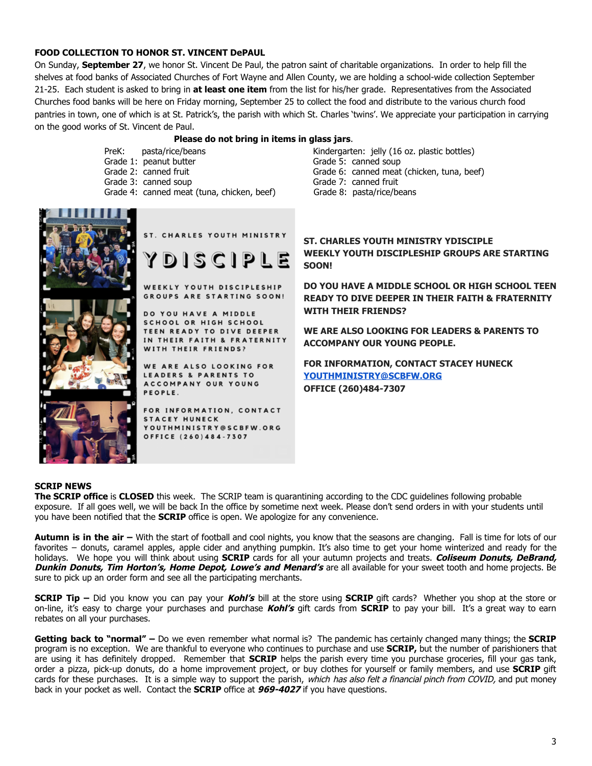# **FOOD COLLECTION TO HONOR ST. VINCENT DePAUL**

On Sunday, **September 27**, we honor St. Vincent De Paul, the patron saint of charitable organizations. In order to help fill the shelves at food banks of Associated Churches of Fort Wayne and Allen County, we are holding a school-wide collection September 21-25. Each student is asked to bring in **at least one item** from the list for his/her grade. Representatives from the Associated Churches food banks will be here on Friday morning, September 25 to collect the food and distribute to the various church food pantries in town, one of which is at St. Patrick's, the parish with which St. Charles 'twins'. We appreciate your participation in carrying on the good works of St. Vincent de Paul.

#### **Please do not bring in items in glass jars**.

- 
- 
- 
- 
- Grade 4: canned meat (tuna, chicken, beef) Grade 8: pasta/rice/beans

PreK: pasta/rice/beans Kindergarten: jelly (16 oz. plastic bottles) Grade 1: peanut butter Grade 5: canned soup Grade 2: canned fruit Grade 6: canned meat (chicken, tuna, beef) Grade 3: canned soup Grade 7: canned fruit



# ST. CHARLES YOUTH MINISTRY

 $DISCIPLE$ 

WEEKLY YOUTH DISCIPLESHIP GROUPS ARE STARTING SOON!

DO YOU HAVE A MIDDLE **SCHOOL OR HIGH SCHOOL** TEEN READY TO DIVE DEEPER IN THEIR FAITH & FRATERNITY WITH THEIR FRIENDS?

WE ARE ALSO LOOKING FOR **LEADERS & PARENTS TO** ACCOMPANY OUR YOUNG PEOPLE.

FOR INFORMATION, CONTACT **STACEY HUNECK** YOUTHMINISTRY@SCBFW.ORG OFFICE (260)484-7307

# **ST. CHARLES YOUTH MINISTRY YDISCIPLE WEEKLY YOUTH DISCIPLESHIP GROUPS ARE STARTING SOON!**

**DO YOU HAVE A MIDDLE SCHOOL OR HIGH SCHOOL TEEN READY TO DIVE DEEPER IN THEIR FAITH & FRATERNITY WITH THEIR FRIENDS?**

**WE ARE ALSO LOOKING FOR LEADERS & PARENTS TO ACCOMPANY OUR YOUNG PEOPLE.**

**FOR INFORMATION, CONTACT STACEY HUNECK [YOUTHMINISTRY@SCBFW.ORG](mailto:YOUTHMINISTRY@SCBFW.ORG) OFFICE (260)484-7307**

#### **SCRIP NEWS**

**The SCRIP office** is **CLOSED** this week. The SCRIP team is quarantining according to the CDC guidelines following probable exposure. If all goes well, we will be back In the office by sometime next week. Please don't send orders in with your students until you have been notified that the **SCRIP** office is open. We apologize for any convenience.

**Autumn is in the air –** With the start of football and cool nights, you know that the seasons are changing. Fall is time for lots of our favorites – donuts, caramel apples, apple cider and anything pumpkin. It's also time to get your home winterized and ready for the holidays. We hope you will think about using **SCRIP** cards for all your autumn projects and treats. **Coliseum Donuts, DeBrand, Dunkin Donuts, Tim Horton's, Home Depot, Lowe's and Menard's** are all available for your sweet tooth and home projects. Be sure to pick up an order form and see all the participating merchants.

**SCRIP Tip –** Did you know you can pay your **Kohl's** bill at the store using **SCRIP** gift cards? Whether you shop at the store or on-line, it's easy to charge your purchases and purchase **Kohl's** gift cards from **SCRIP** to pay your bill. It's a great way to earn rebates on all your purchases.

**Getting back to "normal" –** Do we even remember what normal is? The pandemic has certainly changed many things; the **SCRIP** program is no exception. We are thankful to everyone who continues to purchase and use **SCRIP,** but the number of parishioners that are using it has definitely dropped. Remember that **SCRIP** helps the parish every time you purchase groceries, fill your gas tank, order a pizza, pick-up donuts, do a home improvement project, or buy clothes for yourself or family members, and use **SCRIP** gift cards for these purchases. It is a simple way to support the parish, which has also felt a financial pinch from COVID, and put money back in your pocket as well. Contact the **SCRIP** office at **969-4027** if you have questions.